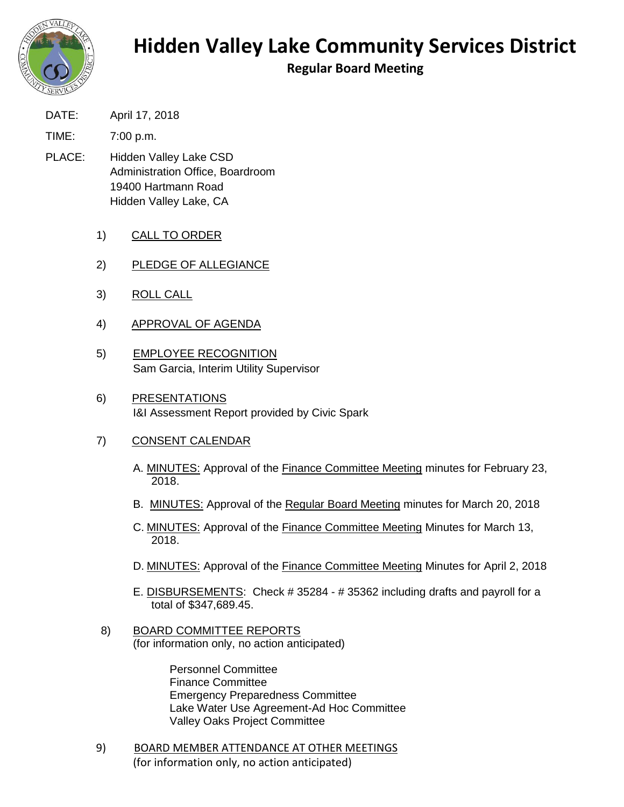

## **Hidden Valley Lake Community Services District**

**Regular Board Meeting**

DATE: April 17, 2018

TIME: 7:00 p.m.

- PLACE: Hidden Valley Lake CSD Administration Office, Boardroom 19400 Hartmann Road Hidden Valley Lake, CA
	- 1) CALL TO ORDER
	- 2) PLEDGE OF ALLEGIANCE
	- 3) ROLL CALL
	- 4) APPROVAL OF AGENDA
	- 5) EMPLOYEE RECOGNITION Sam Garcia, Interim Utility Supervisor
	- 6) PRESENTATIONS I&I Assessment Report provided by Civic Spark

## 7) CONSENT CALENDAR

- A. MINUTES: Approval of the Finance Committee Meeting minutes for February 23, 2018.
- B. MINUTES: Approval of the Regular Board Meeting minutes for March 20, 2018
- C. MINUTES: Approval of the Finance Committee Meeting Minutes for March 13, 2018.
- D. MINUTES: Approval of the Finance Committee Meeting Minutes for April 2, 2018
- E. **DISBURSEMENTS:** Check # 35284 # 35362 including drafts and payroll for a total of \$347,689.45.
- 8) BOARD COMMITTEE REPORTS (for information only, no action anticipated)

Personnel Committee Finance Committee Emergency Preparedness Committee Lake Water Use Agreement-Ad Hoc Committee Valley Oaks Project Committee

9) BOARD MEMBER ATTENDANCE AT OTHER MEETINGS (for information only, no action anticipated)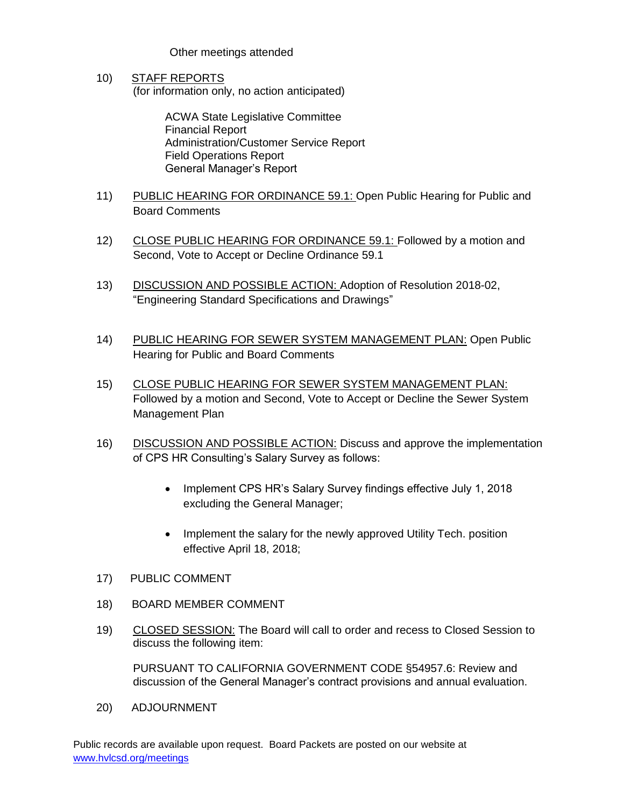## Other meetings attended

10) STAFF REPORTS (for information only, no action anticipated)

> ACWA State Legislative Committee Financial Report Administration/Customer Service Report Field Operations Report General Manager's Report

- 11) PUBLIC HEARING FOR ORDINANCE 59.1: Open Public Hearing for Public and Board Comments
- 12) CLOSE PUBLIC HEARING FOR ORDINANCE 59.1: Followed by a motion and Second, Vote to Accept or Decline Ordinance 59.1
- 13) DISCUSSION AND POSSIBLE ACTION: Adoption of Resolution 2018-02, "Engineering Standard Specifications and Drawings"
- 14) PUBLIC HEARING FOR SEWER SYSTEM MANAGEMENT PLAN: Open Public Hearing for Public and Board Comments
- 15) CLOSE PUBLIC HEARING FOR SEWER SYSTEM MANAGEMENT PLAN: Followed by a motion and Second, Vote to Accept or Decline the Sewer System Management Plan
- 16) DISCUSSION AND POSSIBLE ACTION: Discuss and approve the implementation of CPS HR Consulting's Salary Survey as follows:
	- Implement CPS HR's Salary Survey findings effective July 1, 2018 excluding the General Manager;
	- Implement the salary for the newly approved Utility Tech. position effective April 18, 2018;
- 17) PUBLIC COMMENT
- 18) BOARD MEMBER COMMENT
- 19) CLOSED SESSION: The Board will call to order and recess to Closed Session to discuss the following item:

PURSUANT TO CALIFORNIA GOVERNMENT CODE §54957.6: Review and discussion of the General Manager's contract provisions and annual evaluation.

20) ADJOURNMENT

Public records are available upon request. Board Packets are posted on our website at [www.hvlcsd.org/meetings](http://www.hvlcsd.org/meetings)